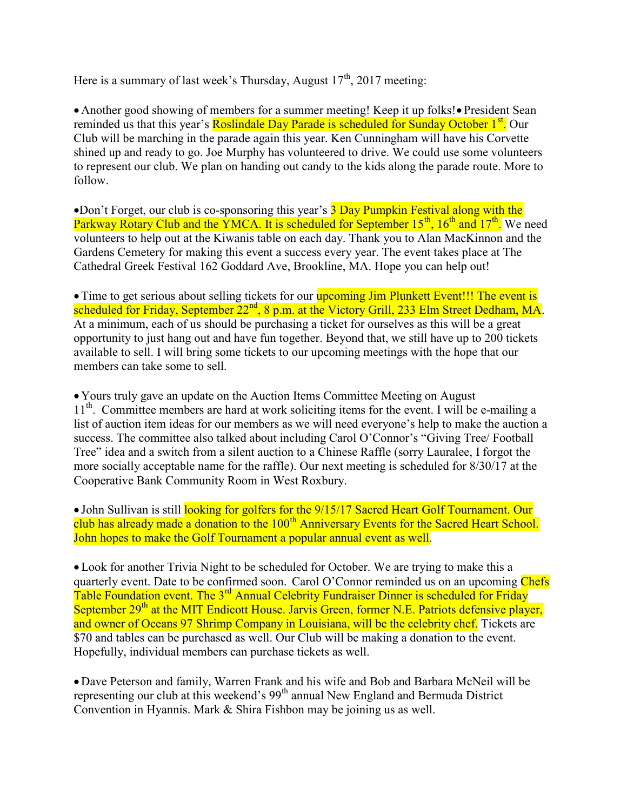Here is a summary of last week's Thursday, August  $17<sup>th</sup>$ , 2017 meeting:

• Another good showing of members for a summer meeting! Keep it up folks! • President Sean reminded us that this year's **Roslindale Day Parade is scheduled for Sunday October 1<sup>st</sup>.** Our Club will be marching in the parade again this year. Ken Cunningham will have his Corvette shined up and ready to go. Joe Murphy has volunteered to drive. We could use some volunteers to represent our club. We plan on handing out candy to the kids along the parade route. More to follow.

•Don't Forget, our club is co-sponsoring this year's **3 Day Pumpkin Festival along with the** Parkway Rotary Club and the YMCA. It is scheduled for September  $15<sup>th</sup>$ ,  $16<sup>th</sup>$  and  $17<sup>th</sup>$ . We need volunteers to help out at the Kiwanis table on each day. Thank you to Alan MacKinnon and the Gardens Cemetery for making this event a success every year. The event takes place at The Cathedral Greek Festival 162 Goddard Ave, Brookline, MA. Hope you can help out!

• Time to get serious about selling tickets for our **upcoming Jim Plunkett Event!!! The event is** scheduled for Friday, September  $22<sup>nd</sup>$ , 8 p.m. at the Victory Grill, 233 Elm Street Dedham, MA. At a minimum, each of us should be purchasing a ticket for ourselves as this will be a great opportunity to just hang out and have fun together. Beyond that, we still have up to 200 tickets available to sell. I will bring some tickets to our upcoming meetings with the hope that our members can take some to sell.

 Yours truly gave an update on the Auction Items Committee Meeting on August  $11<sup>th</sup>$ . Committee members are hard at work soliciting items for the event. I will be e-mailing a list of auction item ideas for our members as we will need everyone's help to make the auction a success. The committee also talked about including Carol O'Connor's "Giving Tree/ Football Tree" idea and a switch from a silent auction to a Chinese Raffle (sorry Lauralee, I forgot the more socially acceptable name for the raffle). Our next meeting is scheduled for 8/30/17 at the Cooperative Bank Community Room in West Roxbury.

• John Sullivan is still looking for golfers for the 9/15/17 Sacred Heart Golf Tournament. Our club has already made a donation to the 100<sup>th</sup> Anniversary Events for the Sacred Heart School. John hopes to make the Golf Tournament a popular annual event as well.

 Look for another Trivia Night to be scheduled for October. We are trying to make this a quarterly event. Date to be confirmed soon. Carol O'Connor reminded us on an upcoming Chefs Table Foundation event. The 3<sup>rd</sup> Annual Celebrity Fundraiser Dinner is scheduled for Friday September 29<sup>th</sup> at the MIT Endicott House. Jarvis Green, former N.E. Patriots defensive player, and owner of Oceans 97 Shrimp Company in Louisiana, will be the celebrity chef. Tickets are \$70 and tables can be purchased as well. Our Club will be making a donation to the event. Hopefully, individual members can purchase tickets as well.

 Dave Peterson and family, Warren Frank and his wife and Bob and Barbara McNeil will be representing our club at this weekend's 99<sup>th</sup> annual New England and Bermuda District Convention in Hyannis. Mark & Shira Fishbon may be joining us as well.